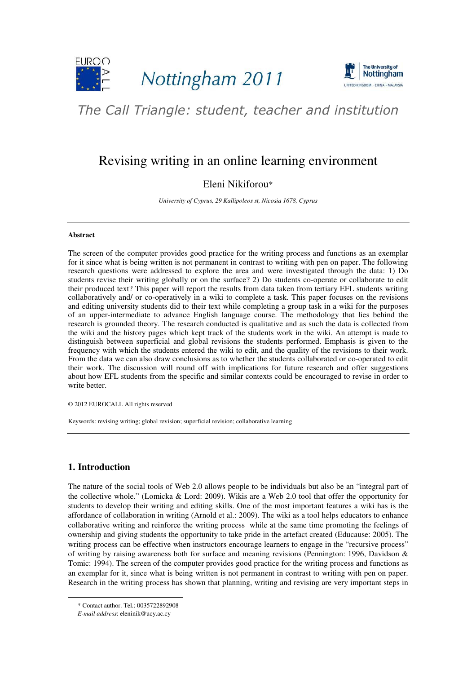



# The Call Triangle: student, teacher and institution

## Revising writing in an online learning environment

## Eleni Nikiforou\*

*University of Cyprus, 29 Kallipoleos st, Nicosia 1678, Cyprus* 

#### **Abstract**

The screen of the computer provides good practice for the writing process and functions as an exemplar for it since what is being written is not permanent in contrast to writing with pen on paper. The following research questions were addressed to explore the area and were investigated through the data: 1) Do students revise their writing globally or on the surface? 2) Do students co-operate or collaborate to edit their produced text? This paper will report the results from data taken from tertiary EFL students writing collaboratively and/ or co-operatively in a wiki to complete a task. This paper focuses on the revisions and editing university students did to their text while completing a group task in a wiki for the purposes of an upper-intermediate to advance English language course. The methodology that lies behind the research is grounded theory. The research conducted is qualitative and as such the data is collected from the wiki and the history pages which kept track of the students work in the wiki. An attempt is made to distinguish between superficial and global revisions the students performed. Emphasis is given to the frequency with which the students entered the wiki to edit, and the quality of the revisions to their work. From the data we can also draw conclusions as to whether the students collaborated or co-operated to edit their work. The discussion will round off with implications for future research and offer suggestions about how EFL students from the specific and similar contexts could be encouraged to revise in order to write better.

© 2012 EUROCALL All rights reserved

Keywords: revising writing; global revision; superficial revision; collaborative learning

## **1. Introduction**

-

The nature of the social tools of Web 2.0 allows people to be individuals but also be an "integral part of the collective whole." (Lomicka & Lord: 2009). Wikis are a Web 2.0 tool that offer the opportunity for students to develop their writing and editing skills. One of the most important features a wiki has is the affordance of collaboration in writing (Arnold et al.: 2009). The wiki as a tool helps educators to enhance collaborative writing and reinforce the writing process while at the same time promoting the feelings of ownership and giving students the opportunity to take pride in the artefact created (Educause: 2005). The writing process can be effective when instructors encourage learners to engage in the "recursive process" of writing by raising awareness both for surface and meaning revisions (Pennington: 1996, Davidson & Tomic: 1994). The screen of the computer provides good practice for the writing process and functions as an exemplar for it, since what is being written is not permanent in contrast to writing with pen on paper. Research in the writing process has shown that planning, writing and revising are very important steps in

<sup>\*</sup> Contact author. Tel.: 0035722892908

*E-mail address*: eleninik@ucy.ac.cy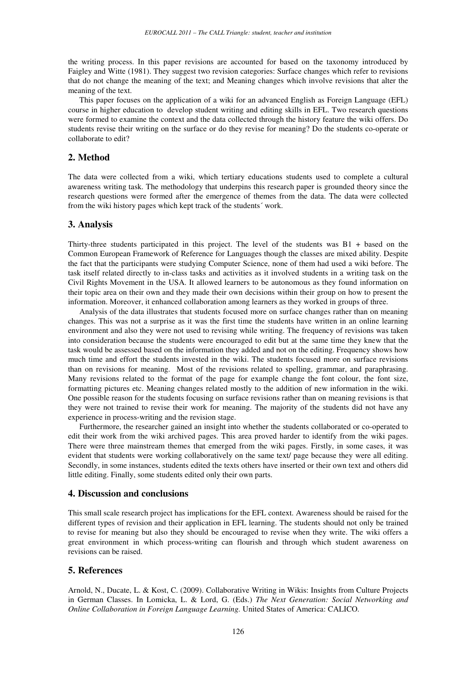the writing process. In this paper revisions are accounted for based on the taxonomy introduced by Faigley and Witte (1981). They suggest two revision categories: Surface changes which refer to revisions that do not change the meaning of the text; and Meaning changes which involve revisions that alter the meaning of the text.

This paper focuses on the application of a wiki for an advanced English as Foreign Language (EFL) course in higher education to develop student writing and editing skills in EFL. Two research questions were formed to examine the context and the data collected through the history feature the wiki offers. Do students revise their writing on the surface or do they revise for meaning? Do the students co-operate or collaborate to edit?

## **2. Method**

The data were collected from a wiki, which tertiary educations students used to complete a cultural awareness writing task. The methodology that underpins this research paper is grounded theory since the research questions were formed after the emergence of themes from the data. The data were collected from the wiki history pages which kept track of the students´ work.

### **3. Analysis**

Thirty-three students participated in this project. The level of the students was B1 + based on the Common European Framework of Reference for Languages though the classes are mixed ability. Despite the fact that the participants were studying Computer Science, none of them had used a wiki before. The task itself related directly to in-class tasks and activities as it involved students in a writing task on the Civil Rights Movement in the USA. It allowed learners to be autonomous as they found information on their topic area on their own and they made their own decisions within their group on how to present the information. Moreover, it enhanced collaboration among learners as they worked in groups of three.

Analysis of the data illustrates that students focused more on surface changes rather than on meaning changes. This was not a surprise as it was the first time the students have written in an online learning environment and also they were not used to revising while writing. The frequency of revisions was taken into consideration because the students were encouraged to edit but at the same time they knew that the task would be assessed based on the information they added and not on the editing. Frequency shows how much time and effort the students invested in the wiki. The students focused more on surface revisions than on revisions for meaning. Most of the revisions related to spelling, grammar, and paraphrasing. Many revisions related to the format of the page for example change the font colour, the font size, formatting pictures etc. Meaning changes related mostly to the addition of new information in the wiki. One possible reason for the students focusing on surface revisions rather than on meaning revisions is that they were not trained to revise their work for meaning. The majority of the students did not have any experience in process-writing and the revision stage.

Furthermore, the researcher gained an insight into whether the students collaborated or co-operated to edit their work from the wiki archived pages. This area proved harder to identify from the wiki pages. There were three mainstream themes that emerged from the wiki pages. Firstly, in some cases, it was evident that students were working collaboratively on the same text/ page because they were all editing. Secondly, in some instances, students edited the texts others have inserted or their own text and others did little editing. Finally, some students edited only their own parts.

### **4. Discussion and conclusions**

This small scale research project has implications for the EFL context. Awareness should be raised for the different types of revision and their application in EFL learning. The students should not only be trained to revise for meaning but also they should be encouraged to revise when they write. The wiki offers a great environment in which process-writing can flourish and through which student awareness on revisions can be raised.

## **5. References**

Arnold, N., Ducate, L. & Kost, C. (2009). Collaborative Writing in Wikis: Insights from Culture Projects in German Classes. In Lomicka, L. & Lord, G. (Eds.) *The Next Generation: Social Networking and Online Collaboration in Foreign Language Learning.* United States of America: CALICO*.*